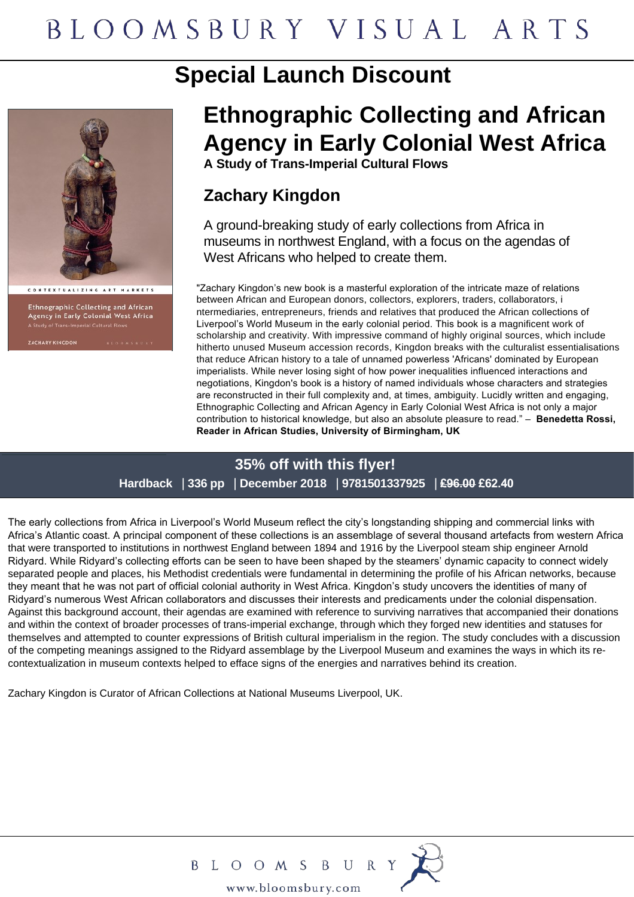# **Special Launch Discount**



Ethnographic Collecting and African<br>Agency in Early Colonial West Africa

# **Ethnographic Collecting and African Agency in Early Colonial West Africa**

**A Study of Trans-Imperial Cultural Flows**

# **Zachary Kingdon**

A ground-breaking study of early collections from Africa in museums in northwest England, with a focus on the agendas of West Africans who helped to create them.

"Zachary Kingdon's new book is a masterful exploration of the intricate maze of relations between African and European donors, collectors, explorers, traders, collaborators, i ntermediaries, entrepreneurs, friends and relatives that produced the African collections of Liverpool's World Museum in the early colonial period. This book is a magnificent work of scholarship and creativity. With impressive command of highly original sources, which include hitherto unused Museum accession records, Kingdon breaks with the culturalist essentialisations that reduce African history to a tale of unnamed powerless 'Africans' dominated by European imperialists. While never losing sight of how power inequalities influenced interactions and negotiations, Kingdon's book is a history of named individuals whose characters and strategies are reconstructed in their full complexity and, at times, ambiguity. Lucidly written and engaging, Ethnographic Collecting and African Agency in Early Colonial West Africa is not only a major contribution to historical knowledge, but also an absolute pleasure to read." – **Benedetta Rossi, Reader in African Studies, University of Birmingham, UK**

# **35% off with this flyer! Hardback** | **336 pp** | **December 2018** | **9781501337925** | **£96.00 £62.40**

The early collections from Africa in Liverpool's World Museum reflect the city's longstanding shipping and commercial links with Africa's Atlantic coast. A principal component of these collections is an assemblage of several thousand artefacts from western Africa that were transported to institutions in northwest England between 1894 and 1916 by the Liverpool steam ship engineer Arnold Ridyard. While Ridyard's collecting efforts can be seen to have been shaped by the steamers' dynamic capacity to connect widely separated people and places, his Methodist credentials were fundamental in determining the profile of his African networks, because they meant that he was not part of official colonial authority in West Africa. Kingdon's study uncovers the identities of many of Ridyard's numerous West African collaborators and discusses their interests and predicaments under the colonial dispensation. Against this background account, their agendas are examined with reference to surviving narratives that accompanied their donations and within the context of broader processes of trans-imperial exchange, through which they forged new identities and statuses for themselves and attempted to counter expressions of British cultural imperialism in the region. The study concludes with a discussion of the competing meanings assigned to the Ridyard assemblage by the Liverpool Museum and examines the ways in which its recontextualization in museum contexts helped to efface signs of the energies and narratives behind its creation.

Zachary Kingdon is Curator of African Collections at National Museums Liverpool, UK.



B L O O M S B U R Y www.bloomsbury.com